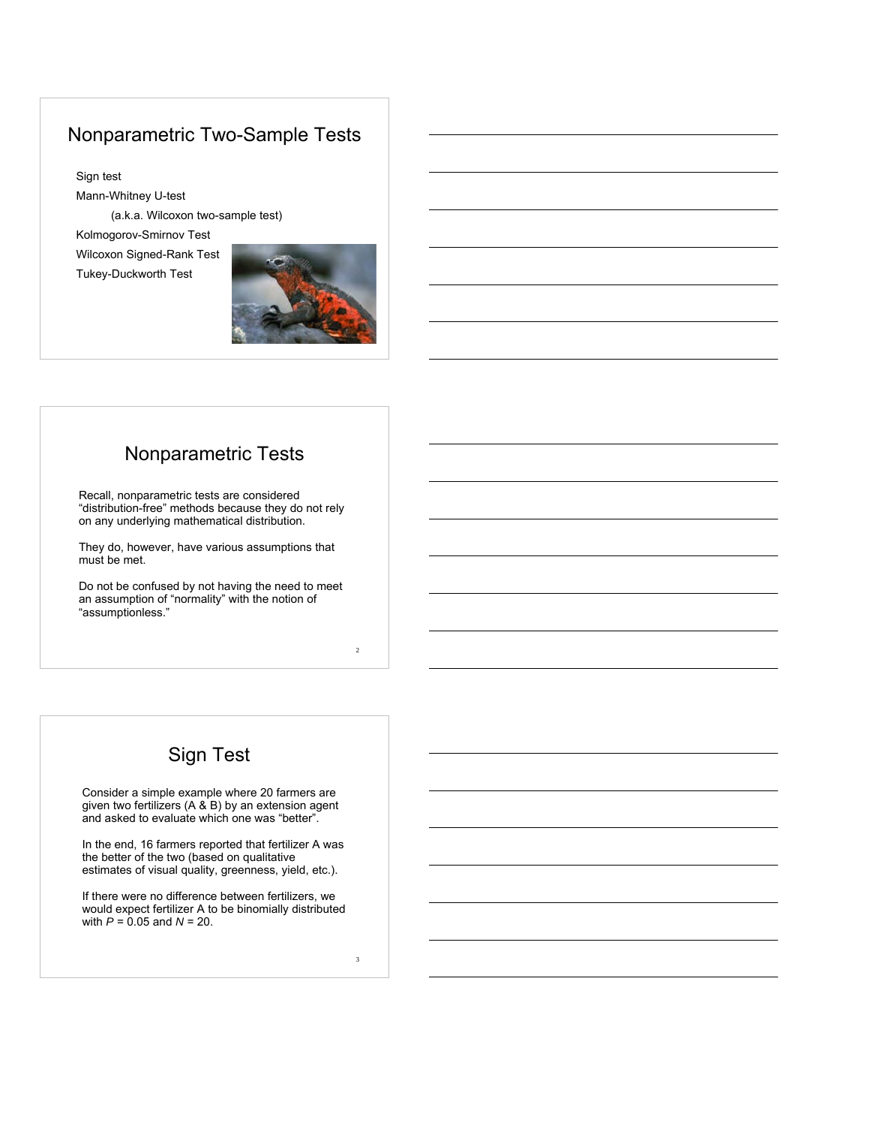## Nonparametric Two-Sample Tests

Sign test Mann-Whitney U-test (a.k.a. Wilcoxon two-sample test) Kolmogorov-Smirnov Test Wilcoxon Signed-Rank Test Tukey-Duckworth Test



## Nonparametric Tests

Recall, nonparametric tests are considered "distribution-free" methods because they do not rely on any underlying mathematical distribution.

They do, however, have various assumptions that must be met.

Do not be confused by not having the need to meet an assumption of "normality" with the notion of "assumptionless."

# Sign Test

Consider a simple example where 20 farmers are given two fertilizers (A & B) by an extension agent and asked to evaluate which one was "better".

In the end, 16 farmers reported that fertilizer A was the better of the two (based on qualitative estimates of visual quality, greenness, yield, etc.).

If there were no difference between fertilizers, we would expect fertilizer A to be binomially distributed with *P* = 0.05 and *N* = 20.

3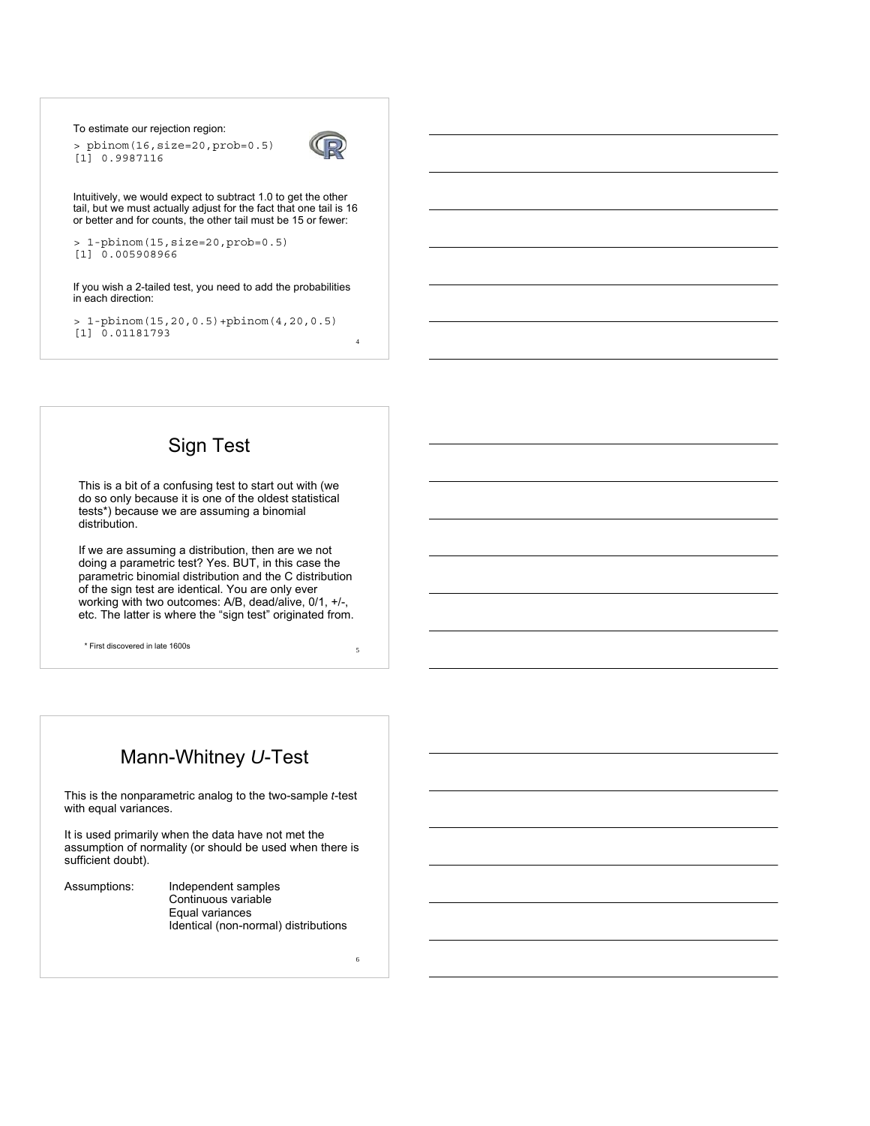To estimate our rejection region:

> pbinom(16,size=20,prob=0.5) [1] 0.9987116



4

5

6

Intuitively, we would expect to subtract 1.0 to get the other tail, but we must actually adjust for the fact that one tail is 16 or better and for counts, the other tail must be 15 or fewer:

```
> 1-pbinom(15,size=20,prob=0.5)
[1] 0.005908966
```
If you wish a 2-tailed test, you need to add the probabilities in each direction:

> 1-pbinom(15,20,0.5)+pbinom(4,20,0.5) [1] 0.01181793

## Sign Test

This is a bit of a confusing test to start out with (we do so only because it is one of the oldest statistical tests\*) because we are assuming a binomial distribution.

If we are assuming a distribution, then are we not doing a parametric test? Yes. BUT, in this case the parametric binomial distribution and the C distribution of the sign test are identical. You are only ever working with two outcomes: A/B, dead/alive, 0/1, +/-, etc. The latter is where the "sign test" originated from.

\* First discovered in late 1600s

# Mann-Whitney *U*-Test

This is the nonparametric analog to the two-sample *t*-test with equal variances.

It is used primarily when the data have not met the assumption of normality (or should be used when there is sufficient doubt).

| Assumptions: | Independent samples                  |
|--------------|--------------------------------------|
|              | Continuous variable                  |
|              | Equal variances                      |
|              | Identical (non-normal) distributions |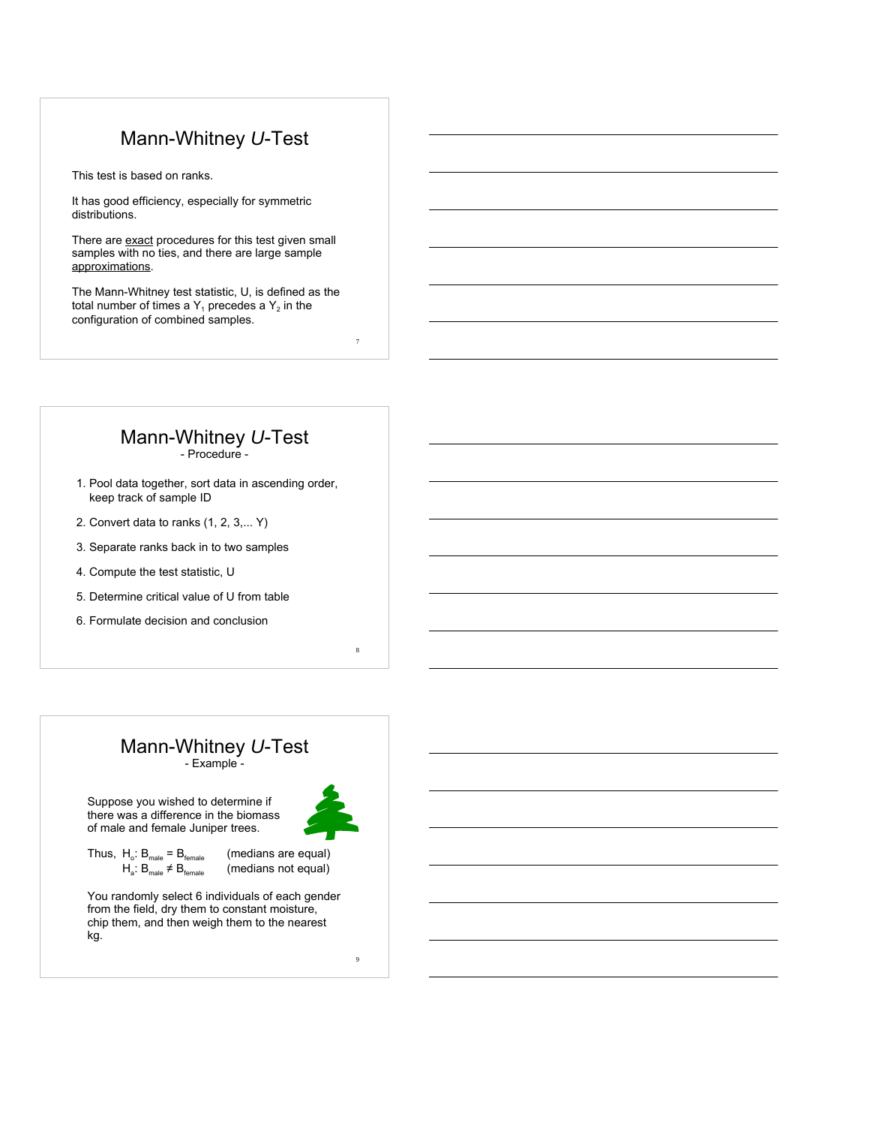## Mann-Whitney *U*-Test

This test is based on ranks.

It has good efficiency, especially for symmetric distributions.

There are exact procedures for this test given small samples with no ties, and there are large sample approximations.

The Mann-Whitney test statistic, U, is defined as the total number of times a  $Y_1$  precedes a  $Y_2$  in the configuration of combined samples.

#### Mann-Whitney *U*-Test - Procedure -

- 1. Pool data together, sort data in ascending order, keep track of sample ID
- 2. Convert data to ranks (1, 2, 3,... Y)
- 3. Separate ranks back in to two samples
- 4. Compute the test statistic, U
- 5. Determine critical value of U from table
- 6. Formulate decision and conclusion

#### Mann-Whitney *U*-Test - Example -

Suppose you wished to determine if there was a difference in the biomass of male and female Juniper trees.



 $\ddot{9}$ 

8

7

Thus,  $H_o: B_{male} = B_{female}$  (medians are equal)<br> $H_a: B_{male} \neq B_{female}$  (medians not equal)

(medians not equal)

You randomly select 6 individuals of each gender from the field, dry them to constant moisture, chip them, and then weigh them to the nearest kg.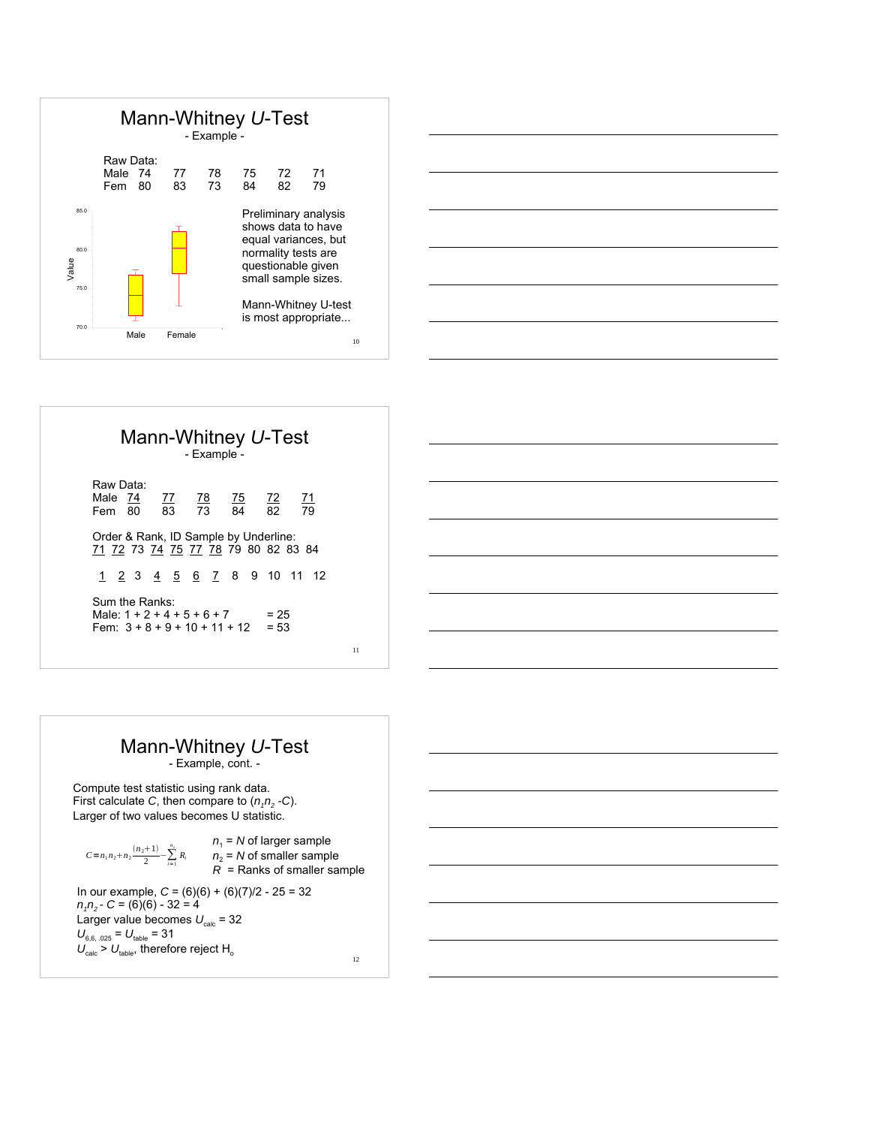



|                      |                | Mann-Whitney U-Test<br>- Example -                                           |        |                 |
|----------------------|----------------|------------------------------------------------------------------------------|--------|-----------------|
| Raw Data:<br>Male 74 | Fem 80         |                                                                              |        | $\frac{71}{79}$ |
|                      |                | Order & Rank, ID Sample by Underline:<br>71 72 73 74 75 77 78 79 80 82 83 84 |        |                 |
|                      |                | <u>1 2 3 4 5 6 7</u> 8 9 10 11 12                                            |        |                 |
|                      | Sum the Ranks: | Male: $1 + 2 + 4 + 5 + 6 + 7$<br>Fem: $3 + 8 + 9 + 10 + 11 + 12 = 53$        | $= 25$ |                 |

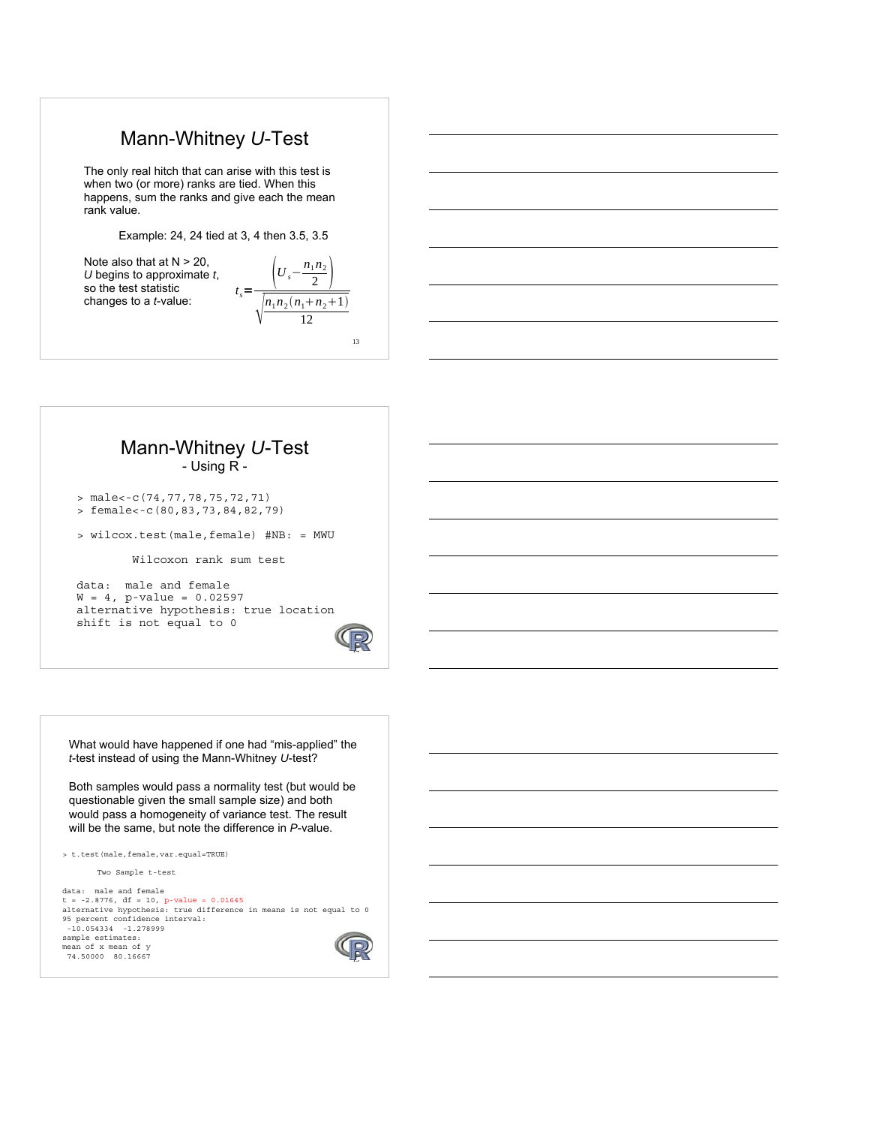## Mann-Whitney *U*-Test

The only real hitch that can arise with this test is when two (or more) ranks are tied. When this happens, sum the ranks and give each the mean rank value.

Example: 24, 24 tied at 3, 4 then 3.5, 3.5

Note also that at  $N > 20$ , *U* begins to approximate *t*, so the test statistic changes to a *t*-value:

13  $t_s = \frac{\left(U_s - \frac{n_1 n_2}{2}\right)}{t}$  $\mathcal{D}$  $n_1 n_2 (n_1 + n_2 + 1)$ 12

#### Mann-Whitney *U*-Test - Using R -

> male<-c(74,77,78,75,72,71) > female<-c(80,83,73,84,82,79)

> wilcox.test(male,female) #NB: = MWU

Wilcoxon rank sum test

data: male and female  $W = 4$ , p-value = 0.02597 alternative hypothesis: true location shift is not equal to 0



What would have happened if one had "mis-applied" the *t*-test instead of using the Mann-Whitney *U*-test?

Both samples would pass a normality test (but would be questionable given the small sample size) and both would pass a homogeneity of variance test. The result will be the same, but note the difference in *P*-value.

> t.test(male,female,var.equal=TRUE)

Two Sample t-test

data: male and female t = -2.8776, df = 10, p-value = 0.01645 alternative hypothesis: true difference in means is not equal to 0 95 percent confidence interval: -10.054334 -1.278999 sample estimates: mean of x mean of y 74.50000 80.16667

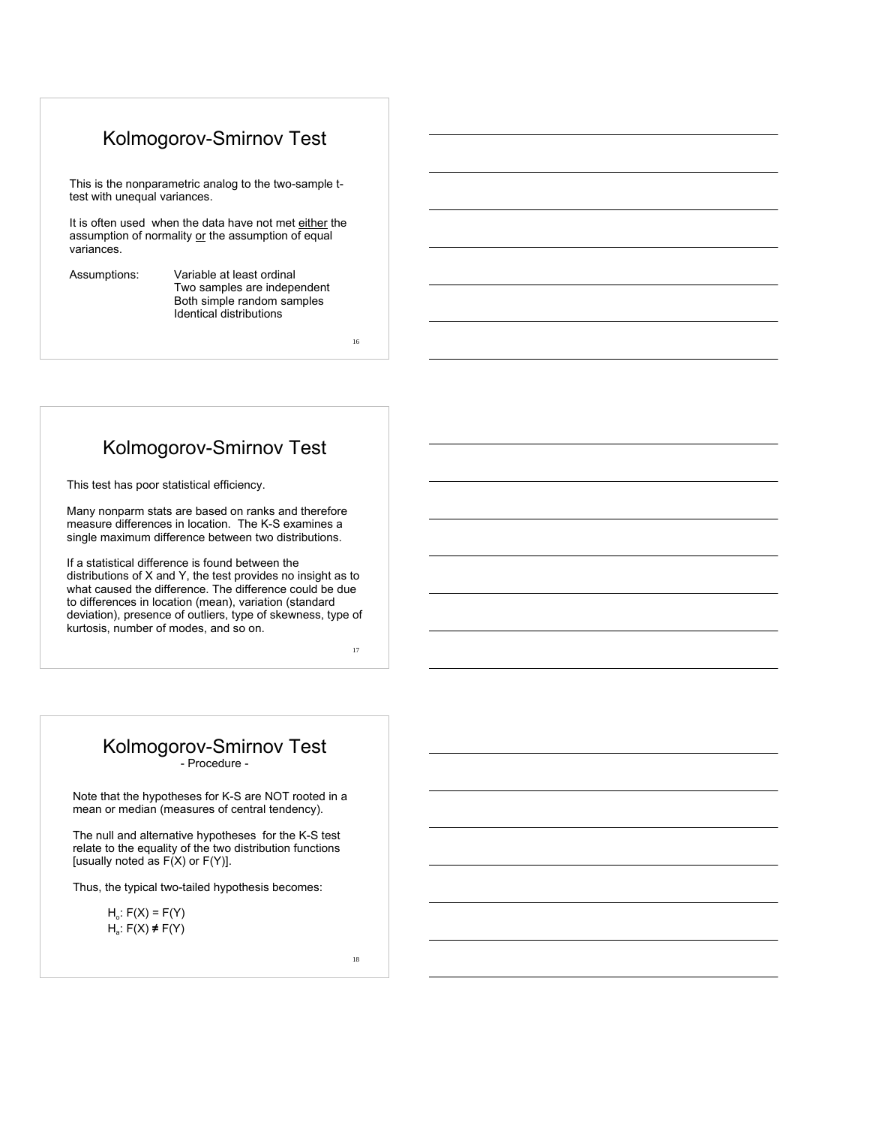## Kolmogorov-Smirnov Test

This is the nonparametric analog to the two-sample ttest with unequal variances.

It is often used when the data have not met either the assumption of normality or the assumption of equal variances.

Assumptions: Variable at least ordinal Two samples are independent Both simple random samples Identical distributions

16

# Kolmogorov-Smirnov Test

This test has poor statistical efficiency.

Many nonparm stats are based on ranks and therefore measure differences in location. The K-S examines a single maximum difference between two distributions.

If a statistical difference is found between the distributions of X and Y, the test provides no insight as to what caused the difference. The difference could be due to differences in location (mean), variation (standard deviation), presence of outliers, type of skewness, type of kurtosis, number of modes, and so on.

17

#### Kolmogorov-Smirnov Test - Procedure -

Note that the hypotheses for K-S are NOT rooted in a mean or median (measures of central tendency).

The null and alternative hypotheses for the K-S test relate to the equality of the two distribution functions [usually noted as  $F(X)$  or  $F(Y)$ ].

Thus, the typical two-tailed hypothesis becomes:

 $H_0$ :  $F(X) = F(Y)$ Ha: F(X) **≠** F(Y)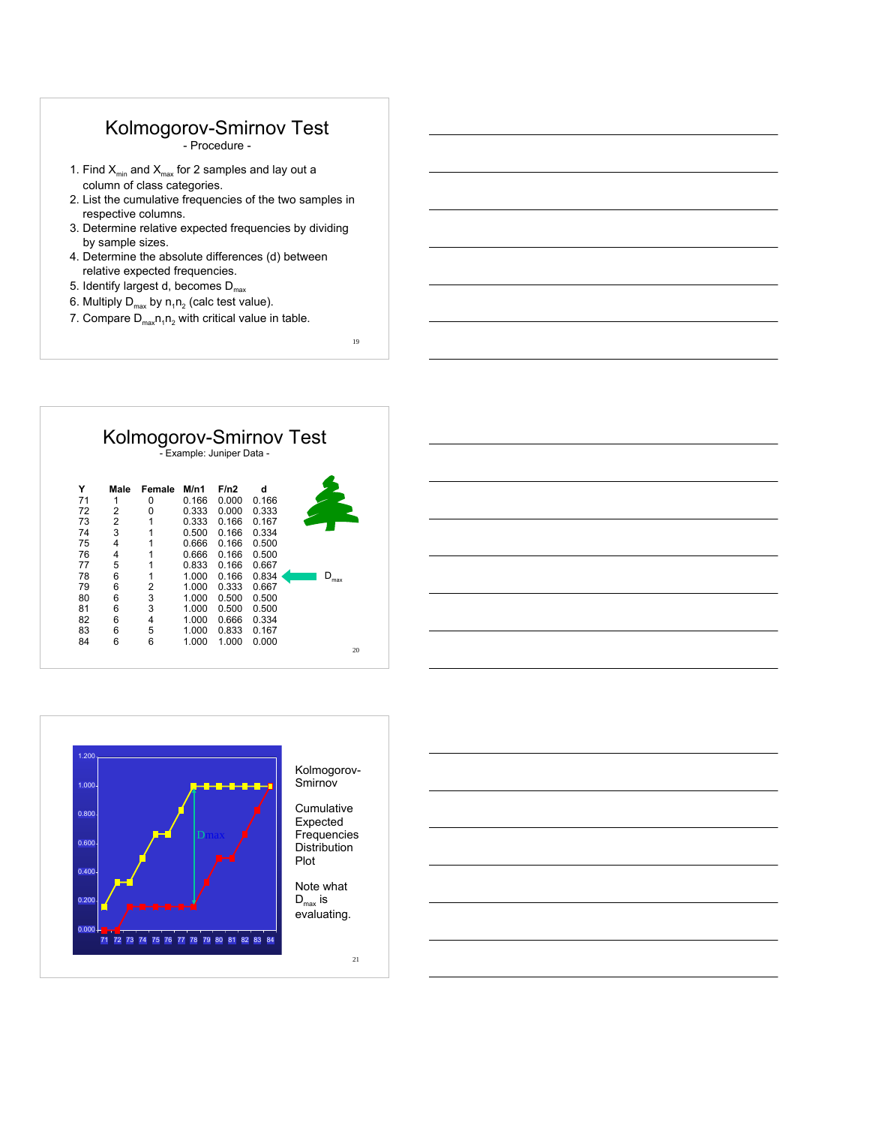## Kolmogorov-Smirnov Test

- Procedure -

- 1. Find  $X_{min}$  and  $X_{max}$  for 2 samples and lay out a column of class categories.
- 2. List the cumulative frequencies of the two samples in respective columns.
- 3. Determine relative expected frequencies by dividing by sample sizes.
- 4. Determine the absolute differences (d) between relative expected frequencies.
- 5. Identify largest d, becomes  $D_{\text{max}}$
- 6. Multiply  $D_{max}$  by  $n_1n_2$  (calc test value).
- 7. Compare  $D_{\text{max}}n_1n_2$  with critical value in table.

19

# Kolmogorov-Smirnov Test - Example: Juniper Data - **Y Male Female M/n1 F/n2 d**





Kolmogorov-Smirnov

**Cumulative** Expected **Frequencies** Distribution

Note what evaluating.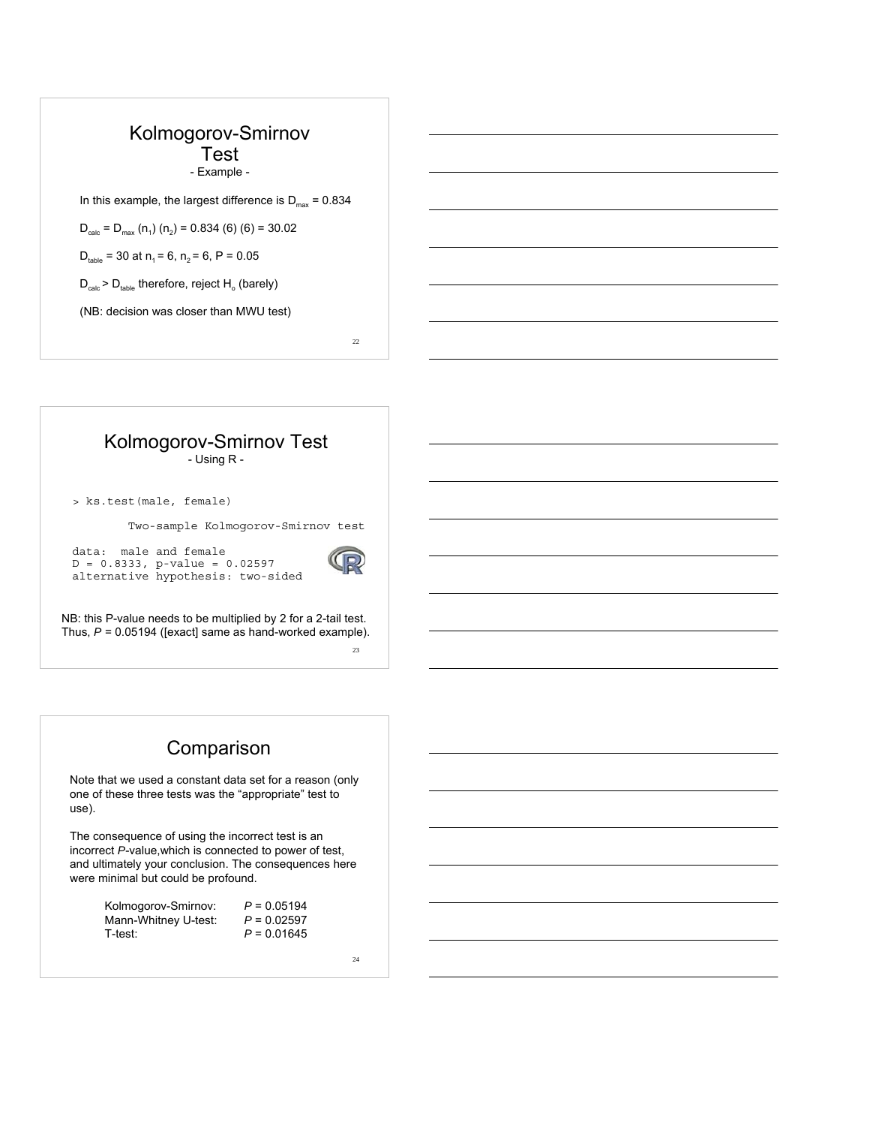#### Kolmogorov-Smirnov Test - Example -

In this example, the largest difference is  $D_{\text{max}} = 0.834$ 

 $D_{\text{calc}} = D_{\text{max}} (n_1) (n_2) = 0.834 (6) (6) = 30.02$ 

 $D_{\text{table}} = 30$  at  $n_1 = 6$ ,  $n_2 = 6$ ,  $P = 0.05$ 

 $D_{calc}$  >  $D_{table}$  therefore, reject  $H_o$  (barely)

(NB: decision was closer than MWU test)

22

#### Kolmogorov-Smirnov Test - Using R -

> ks.test(male, female)

Two-sample Kolmogorov-Smirnov test

data: male and female  $D = 0.8333$ , p-value = 0.02597 alternative hypothesis: two-sided



23

NB: this P-value needs to be multiplied by 2 for a 2-tail test. Thus, *P* = 0.05194 ([exact] same as hand-worked example).

### Comparison

Note that we used a constant data set for a reason (only one of these three tests was the "appropriate" test to use).

The consequence of using the incorrect test is an incorrect *P*-value,which is connected to power of test, and ultimately your conclusion. The consequences here were minimal but could be profound.

| Kolmogorov-Smirnov:  | $P = 0.05194$ |
|----------------------|---------------|
| Mann-Whitney U-test: | $P = 0.02597$ |
| T-test:              | $P = 0.01645$ |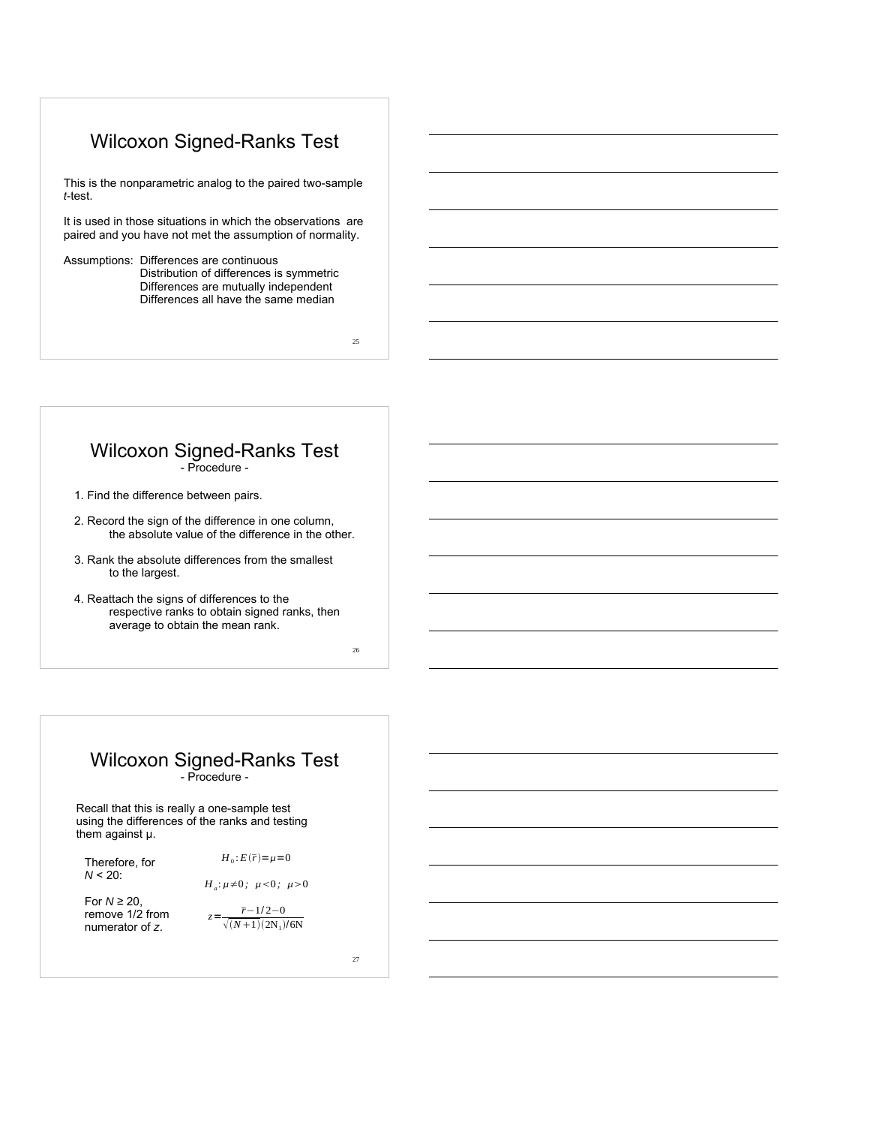## Wilcoxon Signed-Ranks Test

This is the nonparametric analog to the paired two-sample *t*-test.

It is used in those situations in which the observations are paired and you have not met the assumption of normality.

Assumptions: Differences are continuous Distribution of differences is symmetric Differences are mutually independent Differences all have the same median

25

26

#### Wilcoxon Signed-Ranks Test - Procedure -

1. Find the difference between pairs.

- 2. Record the sign of the difference in one column, the absolute value of the difference in the other.
- 3. Rank the absolute differences from the smallest to the largest.
- 4. Reattach the signs of differences to the respective ranks to obtain signed ranks, then average to obtain the mean rank.

Wilcoxon Signed-Ranks Test - Procedure -

Recall that this is really a one-sample test using the differences of the ranks and testing them against μ.

 $H_0$ :  $E(\bar{r}) = \mu = 0$ 

Therefore, for *N* < 20:

 $H_a: \mu \neq 0$ ;  $\mu < 0$ ;  $\mu > 0$ 

For *N* ≥ 20, remove 1/2 from numerator of *z*.

 $z = \frac{\bar{r} - 1/2 - 0}{\sqrt{(N+1)(2N_1)/6N}}$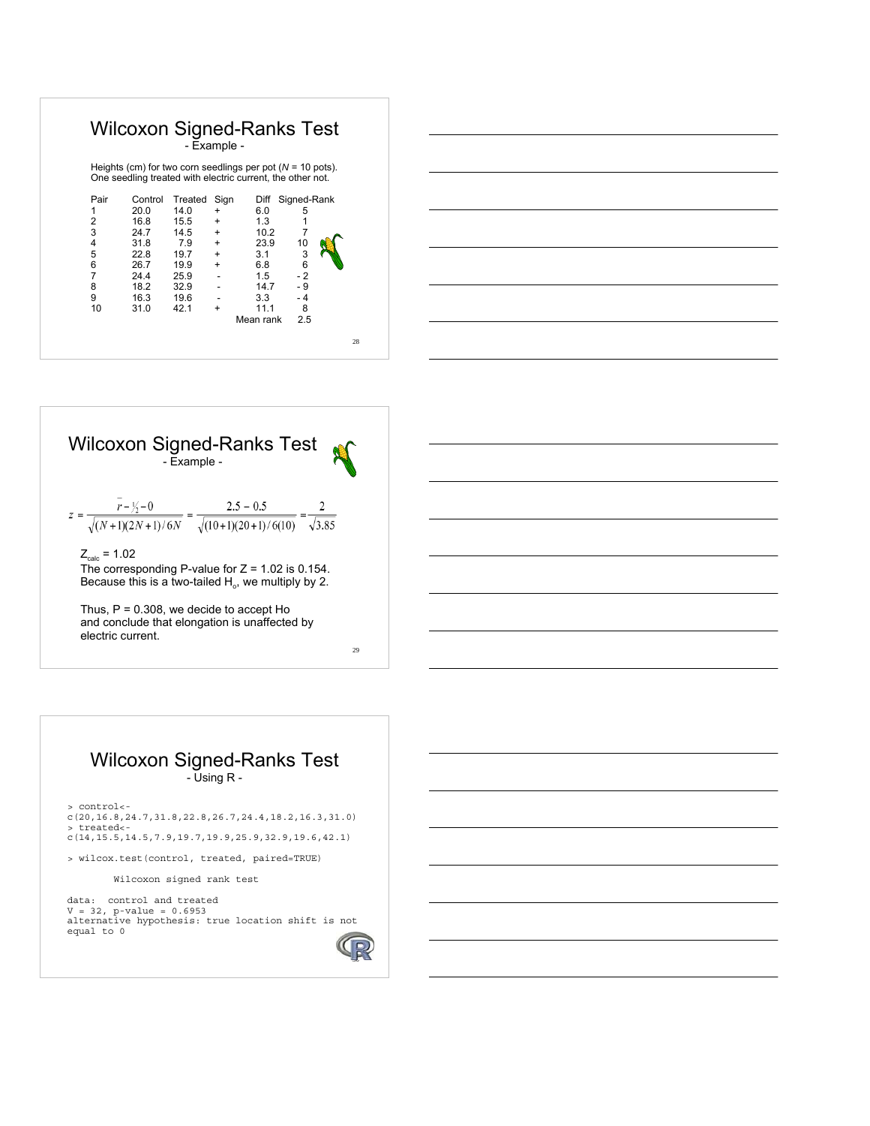|      |                                                                                                                             | - Example - |           | <b>Wilcoxon Signed-Ranks Test</b> |             |  |
|------|-----------------------------------------------------------------------------------------------------------------------------|-------------|-----------|-----------------------------------|-------------|--|
|      | Heights (cm) for two corn seedlings per pot ( $N = 10$ pots).<br>One seedling treated with electric current, the other not. |             |           |                                   |             |  |
| Pair | Control                                                                                                                     | Treated     | Sign      | Diff                              | Signed-Rank |  |
| 1    | 20.0                                                                                                                        | 14.0        | $\ddot{}$ | 6.0                               | 5           |  |
| 2    | 16.8                                                                                                                        | 15.5        | $\ddot{}$ | 1.3                               |             |  |
| 3    | 24.7                                                                                                                        | 14.5        | $+$       | 10.2                              | 7           |  |
| 4    | 31.8                                                                                                                        | 7.9         | $+$       | 23.9                              | 10          |  |
| 5    | 22.8                                                                                                                        | 19.7        | $+$       | 3.1                               | 3           |  |
| 6    | 26.7                                                                                                                        | 19.9        | $+$       | 6.8                               | 6           |  |
| 7    | 24.4                                                                                                                        | 25.9        |           | 1.5                               | $-2$        |  |
| 8    | 18.2                                                                                                                        | 32.9        |           | 14.7                              | - 9         |  |
| 9    | 16.3                                                                                                                        | 19.6        |           | 3.3                               | - 4         |  |
| 10   | 31.0                                                                                                                        | 42.1        | $\ddot{}$ | 11.1                              | 8           |  |
|      |                                                                                                                             |             |           | Mean rank                         | 2.5         |  |





and conclude that elongation is unaffected by electric current.

Wilcoxon Signed-Ranks Test - Using R -

> control< c(20,16.8,24.7,31.8,22.8,26.7,24.4,18.2,16.3,31.0) > treated< c(14,15.5,14.5,7.9,19.7,19.9,25.9,32.9,19.6,42.1)

> wilcox.test(control, treated, paired=TRUE)

Wilcoxon signed rank test

data: control and treated V = 32, p-value = 0.6953 alternative hypothesis: true location shift is not equal to 0

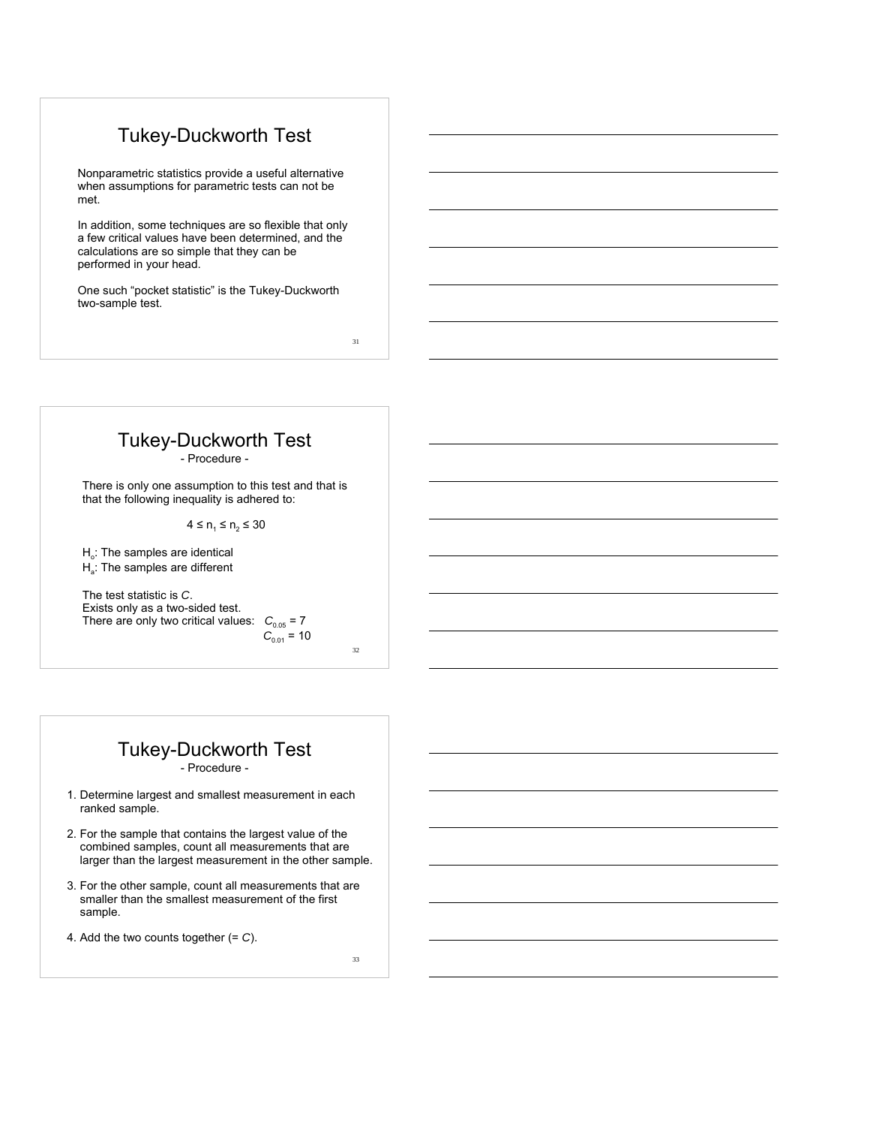## Tukey-Duckworth Test

Nonparametric statistics provide a useful alternative when assumptions for parametric tests can not be met.

In addition, some techniques are so flexible that only a few critical values have been determined, and the calculations are so simple that they can be performed in your head.

One such "pocket statistic" is the Tukey-Duckworth two-sample test.

31

# Tukey-Duckworth Test

- Procedure -

There is only one assumption to this test and that is that the following inequality is adhered to:

 $4 \le n_1 \le n_2 \le 30$ 

 $H<sub>o</sub>$ : The samples are identical H<sub>a</sub>: The samples are different

The test statistic is *C*. Exists only as a two-sided test. There are only two critical values:  $C_{0.05} = 7$  $C_{0.01} = 10$ 

32

# Tukey-Duckworth Test

- Procedure -

- 1. Determine largest and smallest measurement in each ranked sample.
- 2. For the sample that contains the largest value of the combined samples, count all measurements that are larger than the largest measurement in the other sample.
- 3. For the other sample, count all measurements that are smaller than the smallest measurement of the first sample.
- 4. Add the two counts together (= *C*).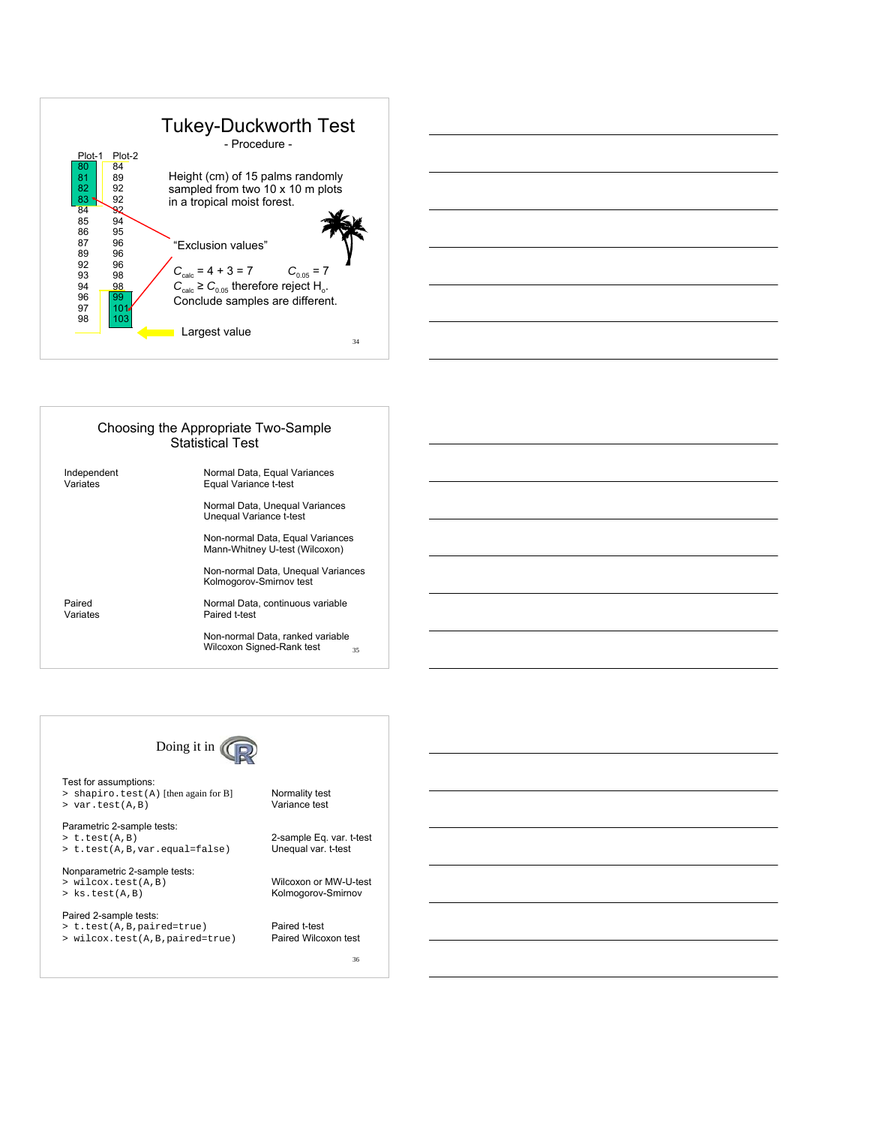| 80<br>84<br>Height (cm) of 15 palms randomly<br>81<br>89<br>82<br>sampled from two 10 x 10 m plots<br>92<br>83<br>92<br>in a tropical moist forest.<br>84<br>92<br>85<br>94<br>86<br>95<br>87<br>96<br>"Exclusion values"<br>89<br>96<br>92<br>96<br>$C_{\text{calc}} = 4 + 3 = 7$<br>$C_{0.05} = 7$<br>93<br>98<br>$C_{\text{calc}} \ge C_{0.05}$ therefore reject H <sub>o</sub> .<br>94<br>98<br>99<br>96<br>Conclude samples are different.<br>97<br>101 | Plot-2<br>Plot-1 | <b>Tukey-Duckworth Test</b><br>- Procedure - |  |
|--------------------------------------------------------------------------------------------------------------------------------------------------------------------------------------------------------------------------------------------------------------------------------------------------------------------------------------------------------------------------------------------------------------------------------------------------------------|------------------|----------------------------------------------|--|
| 103<br>98<br>Largest value                                                                                                                                                                                                                                                                                                                                                                                                                                   |                  |                                              |  |

| Choosing the Appropriate Two-Sample<br><b>Statistical Test</b> |                                                                     |  |  |  |  |
|----------------------------------------------------------------|---------------------------------------------------------------------|--|--|--|--|
| Independent<br>Variates                                        | Normal Data, Equal Variances<br>Equal Variance t-test               |  |  |  |  |
|                                                                | Normal Data, Unequal Variances<br>Unequal Variance t-test           |  |  |  |  |
|                                                                | Non-normal Data, Equal Variances<br>Mann-Whitney U-test (Wilcoxon)  |  |  |  |  |
|                                                                | Non-normal Data, Unequal Variances<br>Kolmogorov-Smirnov test       |  |  |  |  |
| Paired<br>Variates                                             | Normal Data, continuous variable<br>Paired t-test                   |  |  |  |  |
|                                                                | Non-normal Data, ranked variable<br>Wilcoxon Signed-Rank test<br>35 |  |  |  |  |



Test for assumptions: > shapiro.test(A) [then again for B] Normality test > var.test(A,B) Variance test

Parametric 2-sample tests: > t.test(A,B) 2-sample Eq. var. t-test

Nonparametric 2-sample tests: > wilcox.test(A,B) Wilcoxon or MW-U-test

Paired 2-sample tests: > t.test(A,B,paired=true) Paired t-test  $>$  wilcox.test(A,B,paired=true)

> t.test(A,B,var.equal=false) Unequal var. t-test

Kolmogorov-Smirnov